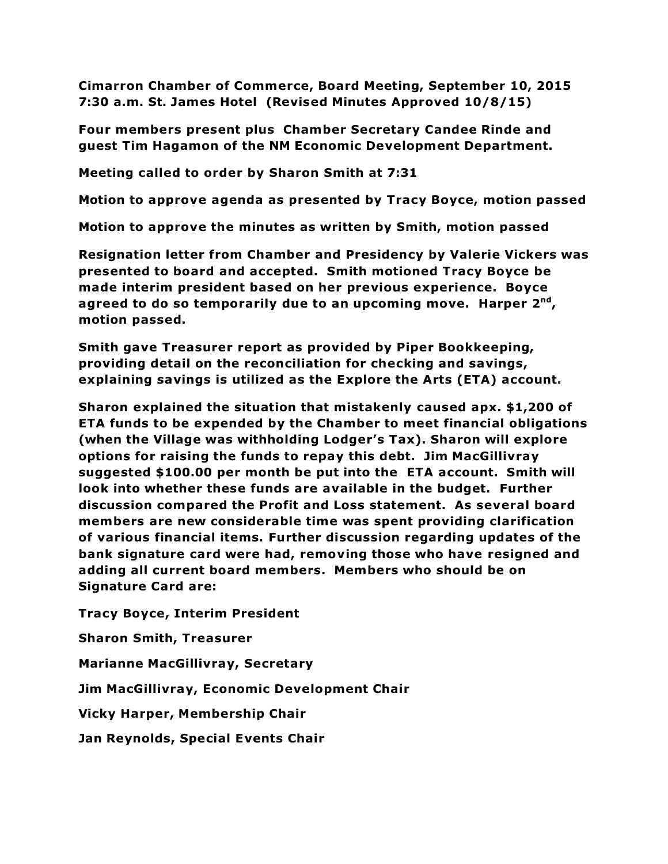**Cimarron Chamber of Commerce, Board Meeting, September 10, 2015 7:30 a.m. St. James Hotel (Revised Minutes Approved 10/8/15)**

**Four members present plus Chamber Secretary Candee Rinde and guest Tim Hagamon of the NM Economic Development Department.** 

**Meeting called to order by Sharon Smith at 7:31**

**Motion to approve agenda as presented by Tracy Boyce, motion passed**

**Motion to approve the minutes as written by Smith, motion passed**

**Resignation letter from Chamber and Presidency by Valerie Vickers was presented to board and accepted. Smith motioned Tracy Boyce be made interim president based on her previous experience. Boyce agreed to do so temporarily due to an upcoming move. Harper 2nd, motion passed.**

**Smith gave Treasurer report as provided by Piper Bookkeeping, providing detail on the reconciliation for checking and savings, explaining savings is utilized as the Explore the Arts (ETA) account.** 

**Sharon explained the situation that mistakenly caused apx. \$1,200 of ETA funds to be expended by the Chamber to meet financial obligations (when the Village was withholding Lodger's Tax). Sharon will explore options for raising the funds to repay this debt. Jim MacGillivray suggested \$100.00 per month be put into the ETA account. Smith will look into whether these funds are available in the budget. Further discussion compared the Profit and Loss statement. As several board members are new considerable time was spent providing clarification of various financial items. Further discussion regarding updates of the bank signature card were had, removing those who have resigned and adding all current board members. Members who should be on Signature Card are:**

**Tracy Boyce, Interim President** 

**Sharon Smith, Treasurer**

**Marianne MacGillivray, Secretary**

**Jim MacGillivray, Economic Development Chair**

**Vicky Harper, Membership Chair** 

**Jan Reynolds, Special Events Chair**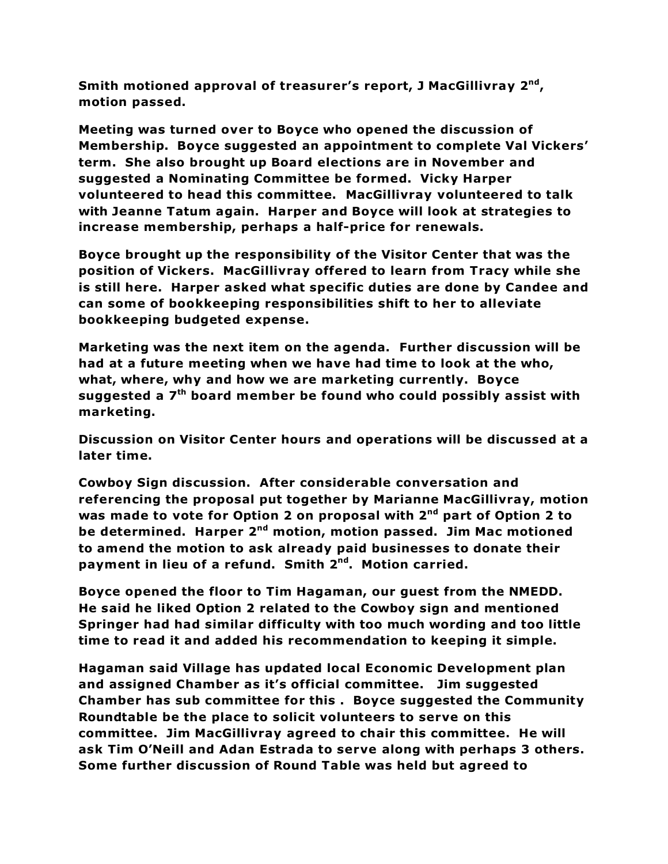**Smith motioned approval of treasurer's report, J MacGillivray 2nd, motion passed.**

**Meeting was turned over to Boyce who opened the discussion of Membership. Boyce suggested an appointment to complete Val Vickers' term. She also brought up Board elections are in November and suggested a Nominating Committee be formed. Vicky Harper volunteered to head this committee. MacGillivray volunteered to talk with Jeanne Tatum again. Harper and Boyce will look at strategies to increase membership, perhaps a half-price for renewals.**

**Boyce brought up the responsibility of the Visitor Center that was the position of Vickers. MacGillivray offered to learn from Tracy while she is still here. Harper asked what specific duties are done by Candee and can some of bookkeeping responsibilities shift to her to alleviate bookkeeping budgeted expense.**

**Marketing was the next item on the agenda. Further discussion will be had at a future meeting when we have had time to look at the who, what, where, why and how we are marketing currently. Boyce suggested a 7th board member be found who could possibly assist with marketing.**

**Discussion on Visitor Center hours and operations will be discussed at a later time.**

**Cowboy Sign discussion. After considerable conversation and referencing the proposal put together by Marianne MacGillivray, motion was made to vote for Option 2 on proposal with 2nd part of Option 2 to be determined. Harper 2nd motion, motion passed. Jim Mac motioned to amend the motion to ask already paid businesses to donate their payment in lieu of a refund. Smith 2nd. Motion carried.**

**Boyce opened the floor to Tim Hagaman, our guest from the NMEDD. He said he liked Option 2 related to the Cowboy sign and mentioned Springer had had similar difficulty with too much wording and too little time to read it and added his recommendation to keeping it simple.**

**Hagaman said Village has updated local Economic Development plan and assigned Chamber as it's official committee. Jim suggested Chamber has sub committee for this . Boyce suggested the Community Roundtable be the place to solicit volunteers to serve on this committee. Jim MacGillivray agreed to chair this committee. He will ask Tim O'Neill and Adan Estrada to serve along with perhaps 3 others. Some further discussion of Round Table was held but agreed to**